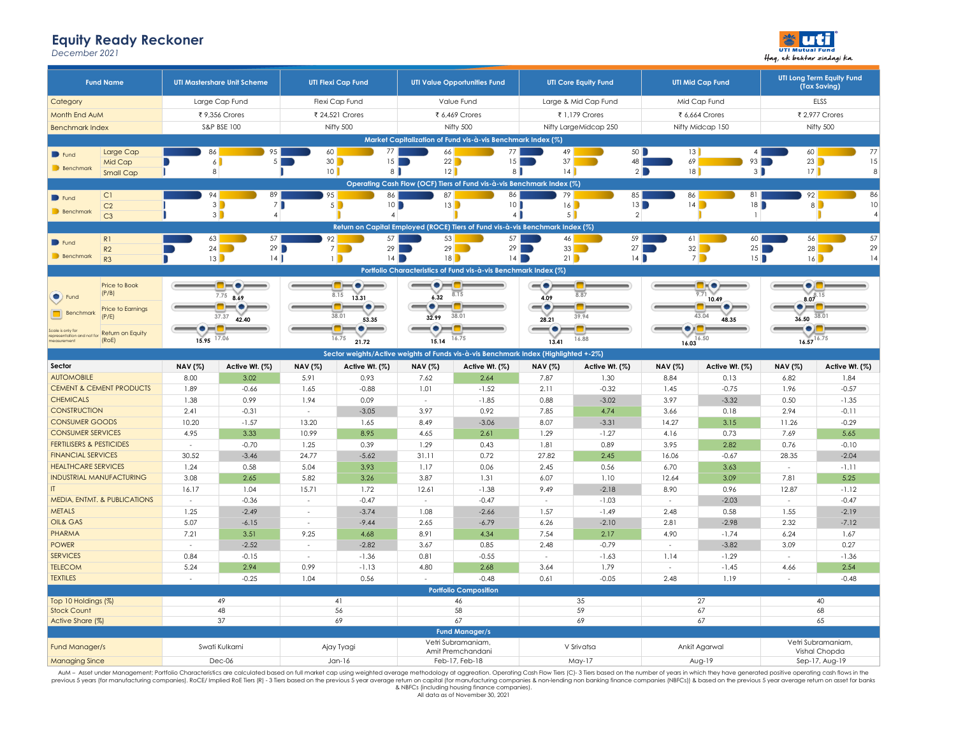## **Equity Ready Reckoner**

*December 2021*



| <b>Fund Name</b>                                                 |                                                             | <b>UTI Mastershare Unit Scheme</b>     |                          | <b>UTI Flexi Cap Fund</b>                                                                                                                                                                                                            |                 | <b>UTI Value Opportunities Fund</b>                                                 |                      | <b>UTI Core Equity Fund</b> |                          | <b>UTI Mid Cap Fund</b>  |                                 | UTI Long Term Equity Fund<br>(Tax Saving) |
|------------------------------------------------------------------|-------------------------------------------------------------|----------------------------------------|--------------------------|--------------------------------------------------------------------------------------------------------------------------------------------------------------------------------------------------------------------------------------|-----------------|-------------------------------------------------------------------------------------|----------------------|-----------------------------|--------------------------|--------------------------|---------------------------------|-------------------------------------------|
| Category                                                         |                                                             | Large Cap Fund                         |                          | Flexi Cap Fund                                                                                                                                                                                                                       |                 | Value Fund                                                                          |                      | Large & Mid Cap Fund        |                          | Mid Cap Fund             |                                 | ELSS                                      |
| Month End AuM                                                    |                                                             | ₹ 9,356 Crores                         |                          | ₹ 24,521 Crores                                                                                                                                                                                                                      |                 | ₹ 6,469 Crores                                                                      |                      | ₹ 1,179 Crores              |                          | ₹ 6,664 Crores           |                                 | ₹ 2,977 Crores                            |
| <b>Benchmark Index</b>                                           |                                                             | S&P BSE 100                            |                          | Nifty 500                                                                                                                                                                                                                            |                 | Nifty 500                                                                           |                      | Nifty LargeMidcap 250       |                          | Nifty Midcap 150         |                                 | Nifty 500                                 |
|                                                                  | Market Capitalization of Fund vis-à-vis Benchmark Index (%) |                                        |                          |                                                                                                                                                                                                                                      |                 |                                                                                     |                      |                             |                          |                          |                                 |                                           |
| Large Cap<br>$\blacksquare$ Fund                                 | 86                                                          | 95                                     | 60                       | 77                                                                                                                                                                                                                                   | 66              | 77                                                                                  | 49                   | 50                          | 13                       | $\overline{4}$           | 60                              | 77                                        |
| Mid Cap                                                          |                                                             | 6<br>5                                 | 30                       | 15                                                                                                                                                                                                                                   | 22              | 15                                                                                  | 37                   | 48                          | 69                       | 93                       |                                 | 23<br>15                                  |
| Benchmark<br><b>Small Cap</b>                                    | $\bf8$                                                      |                                        | 10                       | 8                                                                                                                                                                                                                                    | 12              | 8                                                                                   | 14                   |                             | 2<br> 8                  | $3 \blacksquare$         | 17                              | 8                                         |
|                                                                  |                                                             |                                        |                          |                                                                                                                                                                                                                                      |                 | Operating Cash Flow (OCF) Tiers of Fund vis-à-vis Benchmark Index (%)               |                      |                             |                          |                          |                                 |                                           |
| C1<br>$\blacksquare$ Fund                                        | 94                                                          | 89                                     | 95                       | 86                                                                                                                                                                                                                                   | 87              | 86                                                                                  | 79                   | 85                          | 86                       | 81                       | 92                              | 86                                        |
| C <sub>2</sub><br>Benchmark                                      | 3                                                           | $3\blacksquare$<br>7<br>$\overline{4}$ |                          | $5 \Box$<br>10<br>$\overline{4}$                                                                                                                                                                                                     | 13              | 10<br>$4 \mid$                                                                      | 16<br>5 <sup>1</sup> | 13<br>$\overline{2}$        |                          | 14<br>18<br>$\mathbf{1}$ |                                 | 10<br>8<br>$\overline{4}$                 |
| C <sub>3</sub>                                                   |                                                             |                                        |                          |                                                                                                                                                                                                                                      |                 | Return on Capital Employed (ROCE) Tiers of Fund vis-à-vis Benchmark Index (%)       |                      |                             |                          |                          |                                 |                                           |
|                                                                  | 63                                                          | 57                                     | 92                       | 57                                                                                                                                                                                                                                   | 53              | 57                                                                                  | 46                   | 59                          | 61                       | 60                       | 56                              | 57                                        |
| R <sub>1</sub><br>$\blacksquare$ Fund<br>R2                      | 24                                                          | 29                                     |                          | 29<br>$7 \mid \cdot \mid$                                                                                                                                                                                                            | 29              | 29                                                                                  | 33                   | 27                          |                          | 32<br>25                 |                                 | 29<br>28                                  |
| Benchmark<br>R3                                                  | 13                                                          | 14                                     |                          | $\blacksquare$<br>14                                                                                                                                                                                                                 | 18              |                                                                                     | 14                   | 21<br>14                    |                          | $7\blacksquare$<br>15    |                                 | 16<br>14                                  |
|                                                                  |                                                             |                                        |                          |                                                                                                                                                                                                                                      |                 | Portfolio Characteristics of Fund vis-à-vis Benchmark Index (%)                     |                      |                             |                          |                          |                                 |                                           |
| Price to Book                                                    |                                                             | --                                     |                          | <u> 100 - 101 - 101 - 101 - 102 - 103 - 103 - 103 - 103 - 103 - 103 - 103 - 103 - 103 - 103 - 103 - 103 - 103 - 103 - 103 - 103 - 103 - 103 - 103 - 103 - 103 - 103 - 103 - 103 - 103 - 103 - 103 - 103 - 103 - 103 - 103 - 103 </u> | $-\bullet$ $ -$ |                                                                                     | $-\bullet$           |                             |                          | HTKO)                    |                                 | O ITH                                     |
| (P/B)<br>Fund                                                    |                                                             | $7.75$ 8.69                            |                          | 8.15<br>13.31                                                                                                                                                                                                                        | 6.32            | 8.15                                                                                | 4.09                 | 8.87                        |                          | 9.71<br>10.49            |                                 | $8.07^{8.15}$                             |
| <b>Price to Earninas</b>                                         |                                                             |                                        |                          | $\bullet =$                                                                                                                                                                                                                          |                 |                                                                                     | $-\bullet$           |                             |                          |                          |                                 |                                           |
| Benchmark<br>(P/E)                                               |                                                             | 37.37<br>42.40                         |                          | 38.01<br>53.35                                                                                                                                                                                                                       | 32.99           | 38.01                                                                               | 28.21                | 39.94                       |                          | 43.04<br>48.35           | 36.50 38.01                     |                                           |
| Scale is only for<br>representation and not for Return on Equity |                                                             |                                        |                          |                                                                                                                                                                                                                                      | (●)             |                                                                                     |                      |                             | $\left( \bullet \right)$ |                          | ۰                               |                                           |
| (RoE)<br>measurement                                             | 15.95 17.06                                                 |                                        |                          | 16.75<br>21.72                                                                                                                                                                                                                       | 15.14           | 16.75                                                                               | 13.41                | 16.88                       | $16.03^{16.50}$          |                          | $16.57^{16.75}$                 |                                           |
|                                                                  |                                                             |                                        |                          |                                                                                                                                                                                                                                      |                 | Sector weights/Active weights of Funds vis-à-vis Benchmark Index (Highlighted +-2%) |                      |                             |                          |                          |                                 |                                           |
| Sector                                                           | <b>NAV</b> (%)                                              | Active Wt. (%)                         | <b>NAV</b> (%)           | Active Wt. (%)                                                                                                                                                                                                                       | <b>NAV</b> (%)  | Active Wt. (%)                                                                      | <b>NAV</b> (%)       | Active Wt. (%)              | <b>NAV</b> (%)           | Active Wt. (%)           | <b>NAV</b> (%)                  | Active Wt. (%)                            |
| <b>AUTOMOBILE</b>                                                | 8.00                                                        | 3.02                                   | 5.91                     | 0.93                                                                                                                                                                                                                                 | 7.62            | 2.64                                                                                | 7.87                 | 1.30                        | 8.84                     | 0.13                     | 6.82                            | 1.84                                      |
| <b>CEMENT &amp; CEMENT PRODUCTS</b>                              | 1.89                                                        | $-0.66$                                | 1.65                     | $-0.88$                                                                                                                                                                                                                              | 1.01            | $-1.52$                                                                             | 2.11                 | $-0.32$                     | 1.45                     | $-0.75$                  | 1.96                            | $-0.57$                                   |
| <b>CHEMICALS</b>                                                 | 1.38                                                        | 0.99                                   | 1.94                     | 0.09                                                                                                                                                                                                                                 | $\mathbf{r}$    | $-1.85$                                                                             | 0.88                 | $-3.02$                     | 3.97                     | $-3.32$                  | 0.50                            | $-1.35$                                   |
| <b>CONSTRUCTION</b>                                              | 2.41                                                        | $-0.31$                                | $\sim$                   | $-3.05$                                                                                                                                                                                                                              | 3.97            | 0.92                                                                                | 7.85                 | 4.74                        | 3.66                     | 0.18                     | 2.94                            | $-0.11$                                   |
| <b>CONSUMER GOODS</b>                                            | 10.20                                                       | $-1.57$                                | 13.20                    | 1.65                                                                                                                                                                                                                                 | 8.49            | $-3.06$                                                                             | 8.07                 | $-3.31$                     | 14.27                    | 3.15                     | 11.26                           | $-0.29$                                   |
| <b>CONSUMER SERVICES</b><br><b>FERTILISERS &amp; PESTICIDES</b>  | 4.95                                                        | 3.33<br>$-0.70$                        | 10.99                    | 8.95<br>0.39                                                                                                                                                                                                                         | 4.65<br>1.29    | 2.61<br>0.43                                                                        | 1.29                 | $-1.27$<br>0.89             | 4.16<br>3.95             | 0.73<br>2.82             | 7.69                            | 5.65<br>$-0.10$                           |
| <b>FINANCIAL SERVICES</b>                                        | $\sim$<br>30.52                                             | $-3.46$                                | 1.25<br>24.77            | $-5.62$                                                                                                                                                                                                                              | 31.11           | 0.72                                                                                | 1.81<br>27.82        | 2.45                        | 16.06                    | $-0.67$                  | 0.76<br>28.35                   | $-2.04$                                   |
| <b>HEALTHCARE SERVICES</b>                                       | 1.24                                                        | 0.58                                   | 5.04                     | 3.93                                                                                                                                                                                                                                 | 1.17            | 0.06                                                                                | 2.45                 | 0.56                        | 6.70                     | 3.63                     | $\sim$                          | $-1.11$                                   |
| <b>INDUSTRIAL MANUFACTURING</b>                                  | 3.08                                                        | 2.65                                   | 5.82                     | 3.26                                                                                                                                                                                                                                 | 3.87            | 1.31                                                                                | 6.07                 | 1.10                        | 12.64                    | 3.09                     | 7.81                            | 5.25                                      |
| $\mathsf{I}$                                                     | 16.17                                                       | 1.04                                   | 15.71                    | 1.72                                                                                                                                                                                                                                 | 12.61           | $-1.38$                                                                             | 9.49                 | $-2.18$                     | 8.90                     | 0.96                     | 12.87                           | $-1.12$                                   |
| MEDIA, ENTMT. & PUBLICATIONS                                     | $\sim$                                                      | $-0.36$                                | $\overline{\phantom{a}}$ | $-0.47$                                                                                                                                                                                                                              | $\sim$          | $-0.47$                                                                             | $\sim$               | $-1.03$                     | $\sim$                   | $-2.03$                  | $\sim$                          | $-0.47$                                   |
| <b>METALS</b>                                                    | 1.25                                                        | $-2.49$                                | $\sim$                   | $-3.74$                                                                                                                                                                                                                              | 1.08            | $-2.66$                                                                             | 1.57                 | $-1.49$                     | 2.48                     | 0.58                     | 1.55                            | $-2.19$                                   |
| OIL& GAS                                                         | 5.07                                                        | $-6.15$                                | $\sim$                   | $-9.44$                                                                                                                                                                                                                              | 2.65            | $-6.79$                                                                             | 6.26                 | $-2.10$                     | 2.81                     | $-2.98$                  | 2.32                            | $-7.12$                                   |
| <b>PHARMA</b>                                                    | 7.21                                                        | 3.51                                   | 9.25                     | 4.68                                                                                                                                                                                                                                 | 8.91            | 4.34                                                                                | 7.54                 | 2.17                        | 4.90                     | $-1.74$                  | 6.24                            | 1.67                                      |
| <b>POWER</b>                                                     | $\sim$                                                      | $-2.52$                                | $\sim$                   | $-2.82$                                                                                                                                                                                                                              | 3.67            | 0.85                                                                                | 2.48                 | $-0.79$                     | $\sim$                   | $-3.82$                  | 3.09                            | 0.27                                      |
| <b>SERVICES</b>                                                  | 0.84                                                        | $-0.15$                                | $\overline{\phantom{a}}$ | $-1.36$                                                                                                                                                                                                                              | 0.81            | $-0.55$                                                                             | $\sim$               | $-1.63$                     | 1.14                     | $-1.29$                  | $\sim$                          | $-1.36$                                   |
| <b>TELECOM</b>                                                   | 5.24                                                        | 2.94                                   | 0.99                     | $-1.13$                                                                                                                                                                                                                              | 4.80            | 2.68                                                                                | 3.64                 | 1.79                        | - 1                      | $-1.45$                  | 4.66                            | 2.54                                      |
| <b>TEXTILES</b>                                                  | ÷.                                                          | $-0.25$                                | 1.04                     | 0.56                                                                                                                                                                                                                                 |                 | $-0.48$                                                                             | 0.61                 | $-0.05$                     | 2.48                     | 1.19                     | $\sim$                          | $-0.48$                                   |
|                                                                  |                                                             | 49                                     |                          | 41                                                                                                                                                                                                                                   |                 | <b>Portfolio Composition</b>                                                        |                      | 35                          |                          | 27                       |                                 | 40                                        |
| Top 10 Holdings (%)<br><b>Stock Count</b>                        | 48                                                          |                                        | 56                       |                                                                                                                                                                                                                                      | 46<br>58        |                                                                                     | 59                   |                             | 67                       |                          | 68                              |                                           |
| 37<br>Active Share (%)                                           |                                                             | 69                                     |                          | 67                                                                                                                                                                                                                                   |                 | 69                                                                                  |                      | 67                          |                          | 65                       |                                 |                                           |
| <b>Fund Manager/s</b>                                            |                                                             |                                        |                          |                                                                                                                                                                                                                                      |                 |                                                                                     |                      |                             |                          |                          |                                 |                                           |
| Fund Manager/s                                                   |                                                             | Swati Kulkarni                         |                          | Ajay Tyagi                                                                                                                                                                                                                           |                 | Vetri Subramaniam,                                                                  |                      | V Srivatsa                  |                          | Ankit Agarwal            |                                 | Vetri Subramaniam,                        |
| <b>Managing Since</b>                                            |                                                             | $Dec-06$                               |                          | $Jan-16$                                                                                                                                                                                                                             |                 | Amit Premchandani<br>Feb-17, Feb-18                                                 |                      | $May-17$                    | $Avg-19$                 |                          | Vishal Chopda<br>Sep-17, Aug-19 |                                           |

AuM – Asset under Management; Portfolio Characteristics are calculated based on full market cap using weighted average rethodology at aggreation. Operating Cash Flow Tiers (C)-3 Tiers based on the number of years in which